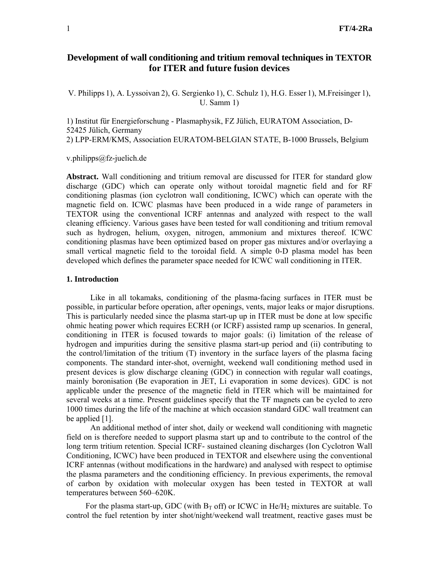# **Development of wall conditioning and tritium removal techniques in TEXTOR for ITER and future fusion devices**

V. Philipps 1), A. Lyssoivan 2), G. Sergienko 1), C. Schulz 1), H.G. Esser 1), M.Freisinger 1), U. Samm 1)

1) Institut für Energieforschung - Plasmaphysik, FZ Jülich, EURATOM Association, D-52425 Jülich, Germany 2) LPP-ERM/KMS, Association EURATOM-BELGIAN STATE, B-1000 Brussels, Belgium

v.philipps@fz-juelich.de

**Abstract.** Wall conditioning and tritium removal are discussed for ITER for standard glow discharge (GDC) which can operate only without toroidal magnetic field and for RF conditioning plasmas (ion cyclotron wall conditioning, ICWC) which can operate with the magnetic field on. ICWC plasmas have been produced in a wide range of parameters in TEXTOR using the conventional ICRF antennas and analyzed with respect to the wall cleaning efficiency. Various gases have been tested for wall conditioning and tritium removal such as hydrogen, helium, oxygen, nitrogen, ammonium and mixtures thereof. ICWC conditioning plasmas have been optimized based on proper gas mixtures and/or overlaying a small vertical magnetic field to the toroidal field. A simple 0-D plasma model has been developed which defines the parameter space needed for ICWC wall conditioning in ITER.

## **1. Introduction**

 Like in all tokamaks, conditioning of the plasma-facing surfaces in ITER must be possible, in particular before operation, after openings, vents, major leaks or major disruptions. This is particularly needed since the plasma start-up up in ITER must be done at low specific ohmic heating power which requires ECRH (or ICRF) assisted ramp up scenarios. In general, conditioning in ITER is focused towards to major goals: (i) limitation of the release of hydrogen and impurities during the sensitive plasma start-up period and (ii) contributing to the control/limitation of the tritium (T) inventory in the surface layers of the plasma facing components. The standard inter-shot, overnight, weekend wall conditioning method used in present devices is glow discharge cleaning (GDC) in connection with regular wall coatings, mainly boronisation (Be evaporation in JET, Li evaporation in some devices). GDC is not applicable under the presence of the magnetic field in ITER which will be maintained for several weeks at a time. Present guidelines specify that the TF magnets can be cycled to zero 1000 times during the life of the machine at which occasion standard GDC wall treatment can be applied [1].

An additional method of inter shot, daily or weekend wall conditioning with magnetic field on is therefore needed to support plasma start up and to contribute to the control of the long term tritium retention. Special ICRF- sustained cleaning discharges (Ion Cyclotron Wall Conditioning, ICWC) have been produced in TEXTOR and elsewhere using the conventional ICRF antennas (without modifications in the hardware) and analysed with respect to optimise the plasma parameters and the conditioning efficiency. In previous experiments, the removal of carbon by oxidation with molecular oxygen has been tested in TEXTOR at wall temperatures between 560–620K.

For the plasma start-up, GDC (with  $B_T$  off) or ICWC in He/H<sub>2</sub> mixtures are suitable. To control the fuel retention by inter shot/night/weekend wall treatment, reactive gases must be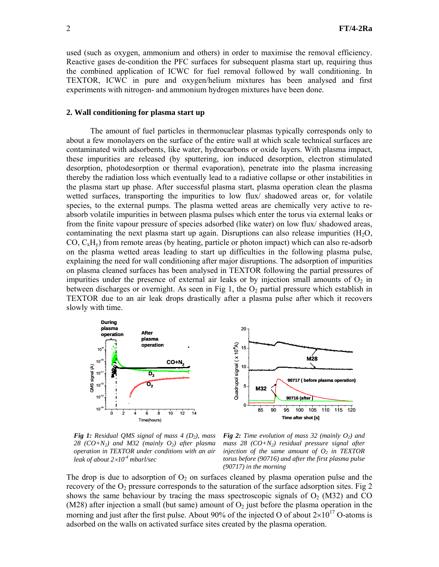used (such as oxygen, ammonium and others) in order to maximise the removal efficiency. Reactive gases de-condition the PFC surfaces for subsequent plasma start up, requiring thus the combined application of ICWC for fuel removal followed by wall conditioning. In TEXTOR, ICWC in pure and oxygen/helium mixtures has been analysed and first experiments with nitrogen- and ammonium hydrogen mixtures have been done.

### **2. Wall conditioning for plasma start up**

The amount of fuel particles in thermonuclear plasmas typically corresponds only to about a few monolayers on the surface of the entire wall at which scale technical surfaces are contaminated with adsorbents, like water, hydrocarbons or oxide layers. With plasma impact, these impurities are released (by sputtering, ion induced desorption, electron stimulated desorption, photodesorption or thermal evaporation), penetrate into the plasma increasing thereby the radiation loss which eventually lead to a radiative collapse or other instabilities in the plasma start up phase. After successful plasma start, plasma operation clean the plasma wetted surfaces, transporting the impurities to low flux/ shadowed areas or, for volatile species, to the external pumps. The plasma wetted areas are chemically very active to reabsorb volatile impurities in between plasma pulses which enter the torus via external leaks or from the finite vapour pressure of species adsorbed (like water) on low flux/ shadowed areas, contaminating the next plasma start up again. Disruptions can also release impurities  $(H<sub>2</sub>O)$ ,  $CO, C_xH_y$ ) from remote areas (by heating, particle or photon impact) which can also re-adsorb on the plasma wetted areas leading to start up difficulties in the following plasma pulse, explaining the need for wall conditioning after major disruptions. The adsorption of impurities on plasma cleaned surfaces has been analysed in TEXTOR following the partial pressures of impurities under the presence of external air leaks or by injection small amounts of  $O_2$  in between discharges or overnight. As seen in Fig 1, the  $O<sub>2</sub>$  partial pressure which establish in TEXTOR due to an air leak drops drastically after a plasma pulse after which it recovers slowly with time.



*Fig 1: Residual QMS signal of mass 4 (D2), mass 28 (CO+N2) and M32 (mainly O2) after plasma operation in TEXTOR under conditions with an air leak of about 2*×*10-4 mbarl/sec* 

*Fig 2: Time evolution of mass 32 (mainly*  $O_2$ *) and mass 28 (CO+N2) residual pressure signal after injection of the same amount of*  $O_2$  *in TEXTOR torus before (90716) and after the first plasma pulse (90717) in the morning* 

The drop is due to adsorption of  $O_2$  on surfaces cleaned by plasma operation pulse and the recovery of the  $O_2$  pressure corresponds to the saturation of the surface adsorption sites. Fig 2 shows the same behaviour by tracing the mass spectroscopic signals of  $O_2$  (M32) and CO (M28) after injection a small (but same) amount of  $O<sub>2</sub>$  just before the plasma operation in the morning and just after the first pulse. About 90% of the injected O of about  $2\times10^{17}$  O-atoms is adsorbed on the walls on activated surface sites created by the plasma operation.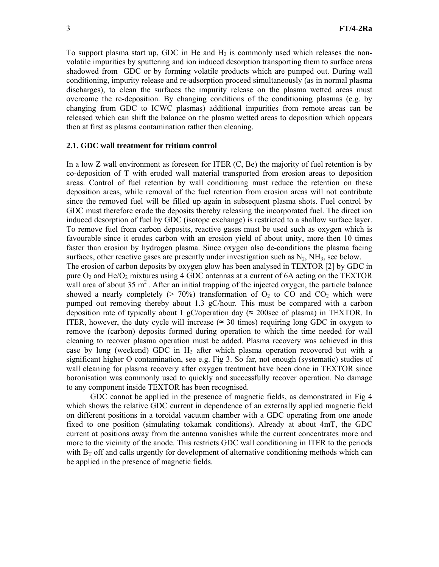To support plasma start up, GDC in He and  $H_2$  is commonly used which releases the nonvolatile impurities by sputtering and ion induced desorption transporting them to surface areas shadowed from GDC or by forming volatile products which are pumped out. During wall conditioning, impurity release and re-adsorption proceed simultaneously (as in normal plasma discharges), to clean the surfaces the impurity release on the plasma wetted areas must overcome the re-deposition. By changing conditions of the conditioning plasmas (e.g. by changing from GDC to ICWC plasmas) additional impurities from remote areas can be released which can shift the balance on the plasma wetted areas to deposition which appears then at first as plasma contamination rather then cleaning.

## **2.1. GDC wall treatment for tritium control**

In a low Z wall environment as foreseen for ITER  $(C, Be)$  the majority of fuel retention is by co-deposition of T with eroded wall material transported from erosion areas to deposition areas. Control of fuel retention by wall conditioning must reduce the retention on these deposition areas, while removal of the fuel retention from erosion areas will not contribute since the removed fuel will be filled up again in subsequent plasma shots. Fuel control by GDC must therefore erode the deposits thereby releasing the incorporated fuel. The direct ion induced desorption of fuel by GDC (isotope exchange) is restricted to a shallow surface layer. To remove fuel from carbon deposits, reactive gases must be used such as oxygen which is favourable since it erodes carbon with an erosion yield of about unity, more then 10 times faster than erosion by hydrogen plasma. Since oxygen also de-conditions the plasma facing surfaces, other reactive gases are presently under investigation such as  $N_2$ ,  $NH_3$ , see below.

The erosion of carbon deposits by oxygen glow has been analysed in TEXTOR [2] by GDC in pure  $O_2$  and He/ $O_2$  mixtures using 4 GDC antennas at a current of 6A acting on the TEXTOR wall area of about 35  $m^2$ . After an initial trapping of the injected oxygen, the particle balance showed a nearly completely ( $> 70\%$ ) transformation of  $O_2$  to CO and CO<sub>2</sub> which were pumped out removing thereby about 1.3 gC/hour. This must be compared with a carbon deposition rate of typically about 1 gC/operation day ( $\approx$  200sec of plasma) in TEXTOR. In ITER, however, the duty cycle will increase ( $\approx 30$  times) requiring long GDC in oxygen to remove the (carbon) deposits formed during operation to which the time needed for wall cleaning to recover plasma operation must be added. Plasma recovery was achieved in this case by long (weekend) GDC in  $H_2$  after which plasma operation recovered but with a significant higher O contamination, see e.g. Fig 3. So far, not enough (systematic) studies of wall cleaning for plasma recovery after oxygen treatment have been done in TEXTOR since boronisation was commonly used to quickly and successfully recover operation. No damage to any component inside TEXTOR has been recognised.

GDC cannot be applied in the presence of magnetic fields, as demonstrated in Fig 4 which shows the relative GDC current in dependence of an externally applied magnetic field on different positions in a toroidal vacuum chamber with a GDC operating from one anode fixed to one position (simulating tokamak conditions). Already at about 4mT, the GDC current at positions away from the antenna vanishes while the current concentrates more and more to the vicinity of the anode. This restricts GDC wall conditioning in ITER to the periods with  $B_T$  off and calls urgently for development of alternative conditioning methods which can be applied in the presence of magnetic fields.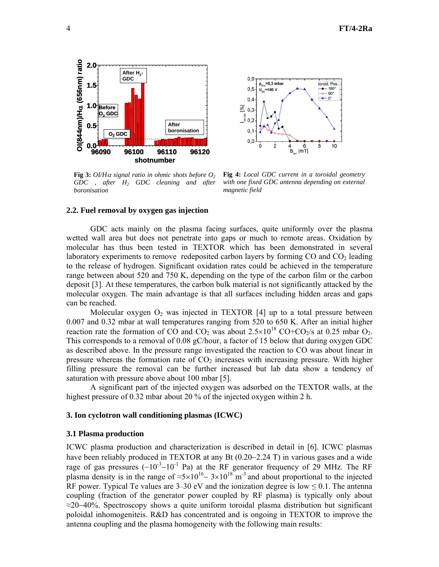

**Fig 3:**  $O/H\alpha$  signal ratio in ohmic shots before  $O_2$ *GDC , after H2 GDC cleaning and after boronisation*



**Fig 4:** *Local GDC current in a toroidal geometry with one fixed GDC antenna depending on external magnetic field*

#### **2.2. Fuel removal by oxygen gas injection**

GDC acts mainly on the plasma facing surfaces, quite uniformly over the plasma wetted wall area but does not penetrate into gaps or much to remote areas. Oxidation by molecular has thus been tested in TEXTOR which has been demonstrated in several laboratory experiments to remove redeposited carbon layers by forming  $CO$  and  $CO<sub>2</sub>$  leading to the release of hydrogen. Significant oxidation rates could be achieved in the temperature range between about 520 and 750 K, depending on the type of the carbon film or the carbon deposit [3]. At these temperatures, the carbon bulk material is not significantly attacked by the molecular oxygen. The main advantage is that all surfaces including hidden areas and gaps can be reached.

Molecular oxygen  $O_2$  was injected in TEXTOR [4] up to a total pressure between 0.007 and 0.32 mbar at wall temperatures ranging from 520 to 650 K. After an initial higher reaction rate the formation of CO and CO<sub>2</sub> was about  $2.5 \times 10^{18}$  CO+CO<sub>2</sub>/s at 0.25 mbar O<sub>2</sub>. This corresponds to a removal of 0.08 gC/hour, a factor of 15 below that during oxygen GDC as described above. In the pressure range investigated the reaction to CO was about linear in pressure whereas the formation rate of  $CO<sub>2</sub>$  increases with increasing pressure. With higher filling pressure the removal can be further increased but lab data show a tendency of saturation with pressure above about 100 mbar [5].

 A significant part of the injected oxygen was adsorbed on the TEXTOR walls, at the highest pressure of 0.32 mbar about 20 % of the injected oxygen within 2 h.

### **3. Ion cyclotron wall conditioning plasmas (ICWC)**

#### **3.1 Plasma production**

ICWC plasma production and characterization is described in detail in [6]. ICWC plasmas have been reliably produced in TEXTOR at any Bt (0.20−2.24 T) in various gases and a wide rage of gas pressures  $({\sim}10^{-3}-10^{-1}$  Pa) at the RF generator frequency of 29 MHz. The RF plasma density is in the range of  $\approx 5 \times 10^{16} - 3 \times 10^{18}$  m<sup>-3</sup> and about proportional to the injected RF power. Typical Te values are  $3-30$  eV and the ionization degree is low  $\leq 0.1$ . The antenna coupling (fraction of the generator power coupled by RF plasma) is typically only about ≈20−40%. Spectroscopy shows a quite uniform toroidal plasma distribution but significant poloidal inhomogeniteis. R&D has concentrated and is ongoing in TEXTOR to improve the antenna coupling and the plasma homogeneity with the following main results: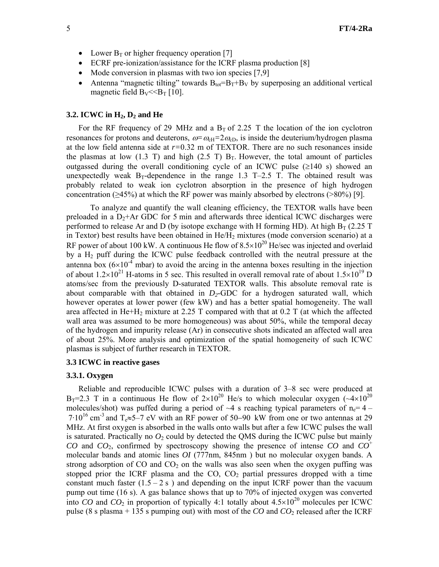- Lower  $B_T$  or higher frequency operation [7]
- ECRF pre-ionization/assistance for the ICRF plasma production [8]
- Mode conversion in plasmas with two ion species [7,9]
- Antenna "magnetic tilting" towards  $B_{tot} = B_T + B_V$  by superposing an additional vertical magnetic field  $B_V < B_T$  [10].

### **3.2. ICWC in H<sub>2</sub>, D<sub>2</sub> and He**

For the RF frequency of 29 MHz and a  $B<sub>T</sub>$  of 2.25 T the location of the ion cyclotron resonances for protons and deuterons,  $\omega = \omega_{\text{cH}} = 2\omega_{\text{cD}}$ , is inside the deuterium/hydrogen plasma at the low field antenna side at *r=*0.32 m of TEXTOR. There are no such resonances inside the plasmas at low (1.3 T) and high (2.5 T)  $B_T$ . However, the total amount of particles outgassed during the overall conditioning cycle of an ICWC pulse  $(\geq 140 \text{ s})$  showed an unexpectedly weak  $B_T$ -dependence in the range 1.3 T–2.5 T. The obtained result was probably related to weak ion cyclotron absorption in the presence of high hydrogen concentration ( $\geq$ 45%) at which the RF power was mainly absorbed by electrons ( $\geq$ 80%) [9].

To analyze and quantify the wall cleaning efficiency, the TEXTOR walls have been preloaded in a  $D_2$ +Ar GDC for 5 min and afterwards three identical ICWC discharges were performed to release Ar and D (by isotope exchange with H forming HD). At high  $B_T$  (2.25 T in Textor) best results have been obtained in  $He/H<sub>2</sub>$  mixtures (mode conversion scenario) at a RF power of about 100 kW. A continuous He flow of  $8.5\times10^{20}$  He/sec was injected and overlaid by a H<sub>2</sub> puff during the ICWC pulse feedback controlled with the neutral pressure at the antenna box  $(6\times10^{-4}$  mbar) to avoid the arcing in the antenna boxes resulting in the injection of about  $1.2\times10^{21}$  H-atoms in 5 sec. This resulted in overall removal rate of about  $1.5\times10^{19}$  D atoms/sec from the previously D-saturated TEXTOR walls. This absolute removal rate is about comparable with that obtained in *D2*-GDC for a hydrogen saturated wall, which however operates at lower power (few kW) and has a better spatial homogeneity. The wall area affected in He+H<sub>2</sub> mixture at 2.25 T compared with that at 0.2 T (at which the affected wall area was assumed to be more homogeneous) was about 50%, while the temporal decay of the hydrogen and impurity release (Ar) in consecutive shots indicated an affected wall area of about 25%. More analysis and optimization of the spatial homogeneity of such ICWC plasmas is subject of further research in TEXTOR.

## **3.3 ICWC in reactive gases**

#### **3.3.1. Oxygen**

Reliable and reproducible ICWC pulses with a duration of 3–8 sec were produced at B<sub>T</sub>=2.3 T in a continuous He flow of  $2\times10^{20}$  He/s to which molecular oxygen ( $\sim4\times10^{20}$ ) molecules/shot) was puffed during a period of  $\sim$ 4 s reaching typical parameters of n<sub>e</sub>= 4 –  $7.10^{16}$  cm<sup>-3</sup> and T<sub>e</sub>≈5–7 eV with an RF power of 50–90 kW from one or two antennas at 29 MHz. At first oxygen is absorbed in the walls onto walls but after a few ICWC pulses the wall is saturated. Practically no  $O_2$  could by detected the QMS during the ICWC pulse but mainly *CO* and *CO*2, confirmed by spectroscopy showing the presence of intense *CO* and *CO*<sup>+</sup> molecular bands and atomic lines *OI* (777nm, 845nm ) but no molecular oxygen bands. A strong adsorption of  $CO$  and  $CO<sub>2</sub>$  on the walls was also seen when the oxygen puffing was stopped prior the ICRF plasma and the  $CO$ ,  $CO<sub>2</sub>$  partial pressures dropped with a time constant much faster  $(1.5 - 2 s)$  and depending on the input ICRF power than the vacuum pump out time (16 s). A gas balance shows that up to 70% of injected oxygen was converted into *CO* and *CO*<sub>2</sub> in proportion of typically 4:1 totally about  $4.5 \times 10^{20}$  molecules per ICWC pulse (8 s plasma  $+ 135$  s pumping out) with most of the *CO* and *CO*<sub>2</sub> released after the ICRF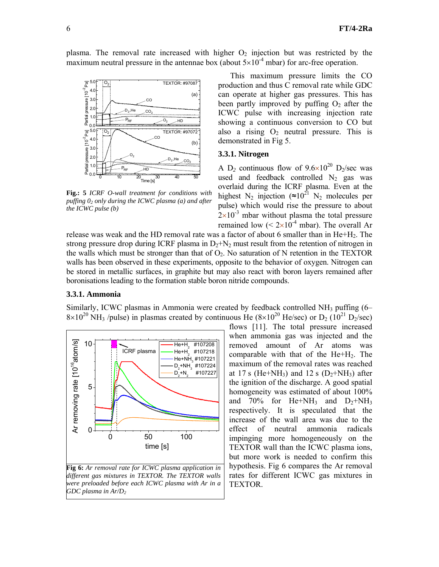

maximum neutral pressure in the antennae box (about  $5\times10^{-4}$  mbar) for arc-free operation.

plasma. The removal rate increased with higher  $O_2$  injection but was restricted by the

**Fig.: 5** *ICRF O-wall treatment for conditions with puffing 02 only during the ICWC plasma (a) and after the ICWC pulse (b)* 

This maximum pressure limits the CO production and thus C removal rate while GDC can operate at higher gas pressures. This has been partly improved by puffing  $O_2$  after the ICWC pulse with increasing injection rate showing a continuous conversion to CO but also a rising  $O_2$  neutral pressure. This is demonstrated in Fig 5.

# **3.3.1. Nitrogen**

A D<sub>2</sub> continuous flow of  $9.6 \times 10^{20}$  D<sub>2</sub>/sec was used and feedback controlled  $N_2$  gas was overlaid during the ICRF plasma. Even at the highest N<sub>2</sub> injection (≈10<sup>21</sup> N<sub>2</sub> molecules per pulse) which would rise the pressure to about  $2\times10^{-3}$  mbar without plasma the total pressure remained low  $(< 2 \times 10^{-4}$  mbar). The overall Ar

release was weak and the HD removal rate was a factor of about 6 smaller than in He+H<sub>2</sub>. The strong pressure drop during ICRF plasma in  $D_2 + N_2$  must result from the retention of nitrogen in the walls which must be stronger than that of  $O_2$ . No saturation of N retention in the TEXTOR walls has been observed in these experiments, opposite to the behavior of oxygen. Nitrogen can be stored in metallic surfaces, in graphite but may also react with boron layers remained after boronisations leading to the formation stable boron nitride compounds.

## **3.3.1. Ammonia**

Similarly, ICWC plasmas in Ammonia were created by feedback controlled NH<sub>3</sub> puffing (6–  $8\times10^{20}$  NH<sub>3</sub>/pulse) in plasmas created by continuous He ( $8\times10^{20}$  He/sec) or D<sub>2</sub> ( $10^{21}$  D<sub>2</sub>/sec) flows [11]. The total pressure increased



when ammonia gas was injected and the removed amount of Ar atoms was comparable with that of the He+H2. The maximum of the removal rates was reached at 17 s (He+NH<sub>3</sub>) and 12 s (D<sub>2</sub>+NH<sub>3</sub>) after the ignition of the discharge. A good spatial homogeneity was estimated of about 100% and  $70\%$  for He+NH<sub>3</sub> and  $D_2+NH_3$ respectively. It is speculated that the increase of the wall area was due to the effect of neutral ammonia radicals impinging more homogeneously on the TEXTOR wall than the ICWC plasma ions, but more work is needed to confirm this hypothesis. Fig 6 compares the Ar removal rates for different ICWC gas mixtures in TEXTOR.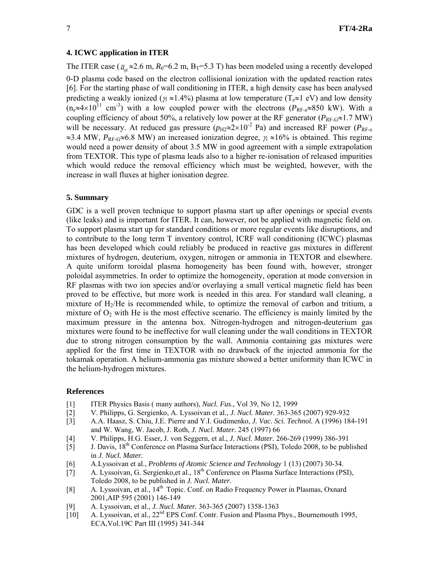### **4. ICWC application in ITER**

The ITER case ( $\bar{a}_{n} \approx 2.6$  m,  $R_0 = 6.2$  m, B<sub>T</sub>=5.3 T) has been modeled using a recently developed 0-D plasma code based on the electron collisional ionization with the updated reaction rates [6]. For the starting phase of wall conditioning in ITER, a high density case has been analysed predicting a weakly ionized ( $\gamma$  ≈1.4%) plasma at low temperature (T<sub>e</sub>≈1 eV) and low density  $(n_e \approx 4 \times 10^{11} \text{ cm}^{-3})$  with a low coupled power with the electrons ( $P_{\text{RF-}e} \approx 850 \text{ kW}$ ). With a coupling efficiency of about 50%, a relatively low power at the RF generator ( $P_{\text{RF-G}} \approx 1.7 \text{ MW}$ ) will be necessary. At reduced gas pressure  $(p_{H2} \approx 2 \times 10^{-2}$  Pa) and increased RF power ( $P_{RF-e}$ ) ≈3.4 MW, *P*RF-G≈6.8 MW) an increased ionization degree, <sup>γ</sup>*<sup>i</sup>* ≈16% is obtained. This regime would need a power density of about 3.5 MW in good agreement with a simple extrapolation from TEXTOR. This type of plasma leads also to a higher re-ionisation of released impurities which would reduce the removal efficiency which must be weighted, however, with the increase in wall fluxes at higher ionisation degree.

### **5. Summary**

GDC is a well proven technique to support plasma start up after openings or special events (like leaks) and is important for ITER. It can, however, not be applied with magnetic field on. To support plasma start up for standard conditions or more regular events like disruptions, and to contribute to the long term T inventory control, ICRF wall conditioning (ICWC) plasmas has been developed which could reliably be produced in reactive gas mixtures in different mixtures of hydrogen, deuterium, oxygen, nitrogen or ammonia in TEXTOR and elsewhere. A quite uniform toroidal plasma homogeneity has been found with, however, stronger poloidal asymmetries. In order to optimize the homogeneity, operation at mode conversion in RF plasmas with two ion species and/or overlaying a small vertical magnetic field has been proved to be effective, but more work is needed in this area. For standard wall cleaning, a mixture of H2/He is recommended while, to optimize the removal of carbon and tritium, a mixture of  $O<sub>2</sub>$  with He is the most effective scenario. The efficiency is mainly limited by the maximum pressure in the antenna box. Nitrogen-hydrogen and nitrogen-deuterium gas mixtures were found to be ineffective for wall cleaning under the wall conditions in TEXTOR due to strong nitrogen consumption by the wall. Ammonia containing gas mixtures were applied for the first time in TEXTOR with no drawback of the injected ammonia for the tokamak operation. A helium-ammonia gas mixture showed a better uniformity than ICWC in the helium-hydrogen mixtures.

### **References**

- [1] ITER Physics Basis ( many authors), *Nucl. Fus*., Vol 39, No 12, 1999
- [2] V. Philipps, G. Sergienko, A. Lyssoivan et al., *J. Nucl. Mater.* 363-365 (2007) 929-932
- [3] A.A. Haasz, S. Chiu, J.E. Pierre and Y.I. Gudimenko, *J. Vac. Sci. Technol.* A (1996) 184-191 and W. Wang, W. Jacob, J. Roth, *J. Nucl. Mater.* 245 (1997) 66
- [4] V. Philipps, H.G. Esser, J. von Seggern, et al., *J. Nucl. Mater.* 266-269 (1999) 386-391
- [5] J. Davis, 18<sup>th</sup> Conference on Plasma Surface Interactions (PSI), Toledo 2008, to be published in *J. Nucl. Mater.*
- [6] A.Lyssoivan et al., *Problems of Atomic Science and Technology* 1 (13) (2007) 30-34.
- [7] A. Lyssoivan, G. Sergienko, et al., 18<sup>th</sup> Conference on Plasma Surface Interactions (PSI), Toledo 2008, to be published in *J. Nucl. Mater.*
- [8] A. Lyssoivan, et al., 14<sup>th</sup> Topic. Conf. on Radio Frequency Power in Plasmas, Oxnard 2001,AIP 595 (2001) 146-149
- [9] A. Lyssoivan, et al., *J. Nucl. Mater.* 363-365 (2007) 1358-1363
- [10] A. Lyssoivan, et al., 22nd EPS Conf. Contr. Fusion and Plasma Phys., Bournemouth 1995*,* ECA,Vol.19C Part III (1995) 341-344